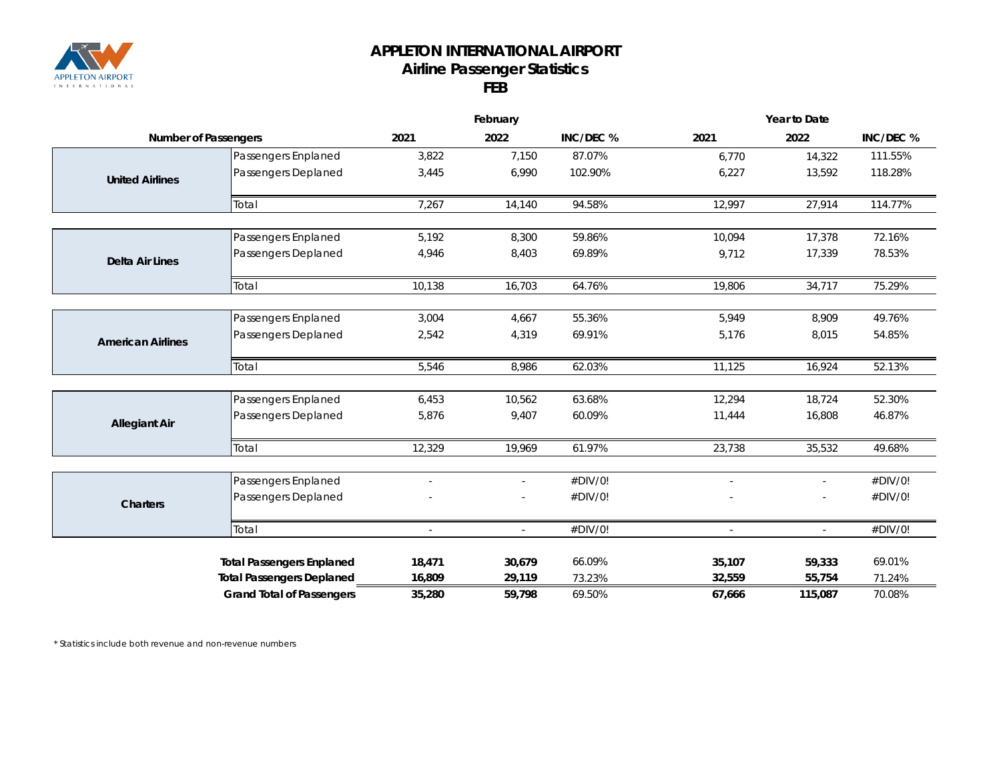

## **APPLETON INTERNATIONAL AIRPORT Airline Passenger Statistics FEB**

|                             |                                  | February |                          |           | Year to Date   |         |           |  |
|-----------------------------|----------------------------------|----------|--------------------------|-----------|----------------|---------|-----------|--|
| <b>Number of Passengers</b> |                                  | 2021     | 2022                     | INC/DEC % | 2021           | 2022    | INC/DEC % |  |
| <b>United Airlines</b>      | Passengers Enplaned              | 3,822    | 7,150                    | 87.07%    | 6,770          | 14,322  | 111.55%   |  |
|                             | Passengers Deplaned              | 3,445    | 6,990                    | 102.90%   | 6,227          | 13,592  | 118.28%   |  |
|                             | Total                            | 7,267    | 14,140                   | 94.58%    | 12,997         | 27,914  | 114.77%   |  |
|                             |                                  |          |                          |           |                |         |           |  |
| <b>Delta Air Lines</b>      | Passengers Enplaned              | 5,192    | 8,300                    | 59.86%    | 10,094         | 17,378  | 72.16%    |  |
|                             | Passengers Deplaned              | 4,946    | 8,403                    | 69.89%    | 9,712          | 17,339  | 78.53%    |  |
|                             | Total                            | 10,138   | 16,703                   | 64.76%    | 19,806         | 34,717  | 75.29%    |  |
|                             |                                  |          |                          |           |                |         |           |  |
| <b>American Airlines</b>    | Passengers Enplaned              | 3,004    | 4,667                    | 55.36%    | 5,949          | 8,909   | 49.76%    |  |
|                             | Passengers Deplaned              | 2,542    | 4,319                    | 69.91%    | 5,176          | 8,015   | 54.85%    |  |
|                             | Total                            | 5,546    | 8,986                    | 62.03%    | 11,125         | 16,924  | 52.13%    |  |
|                             |                                  |          |                          |           |                |         |           |  |
|                             | Passengers Enplaned              | 6,453    | 10,562                   | 63.68%    | 12,294         | 18,724  | 52.30%    |  |
| <b>Allegiant Air</b>        | Passengers Deplaned              | 5,876    | 9,407                    | 60.09%    | 11,444         | 16,808  | 46.87%    |  |
|                             | Total                            | 12,329   | 19,969                   | 61.97%    | 23,738         | 35,532  | 49.68%    |  |
|                             |                                  |          |                          |           |                |         |           |  |
| <b>Charters</b>             | Passengers Enplaned              |          | $\overline{a}$           | #DIV/0!   | $\overline{a}$ | $\sim$  | #DIV/0!   |  |
|                             | Passengers Deplaned              |          | $\overline{\phantom{0}}$ | #DIV/0!   |                |         | #DIV/0!   |  |
|                             | Total                            |          |                          | #DIV/0!   |                |         | #DIV/0!   |  |
|                             | <b>Total Passengers Enplaned</b> | 18,471   | 30,679                   | 66.09%    | 35,107         | 59,333  | 69.01%    |  |
|                             | <b>Total Passengers Deplaned</b> | 16,809   | 29,119                   | 73.23%    | 32,559         | 55,754  | 71.24%    |  |
|                             | <b>Grand Total of Passengers</b> | 35,280   | 59,798                   | 69.50%    | 67,666         | 115,087 | 70.08%    |  |

*\* Statistics include both revenue and non-revenue numbers*